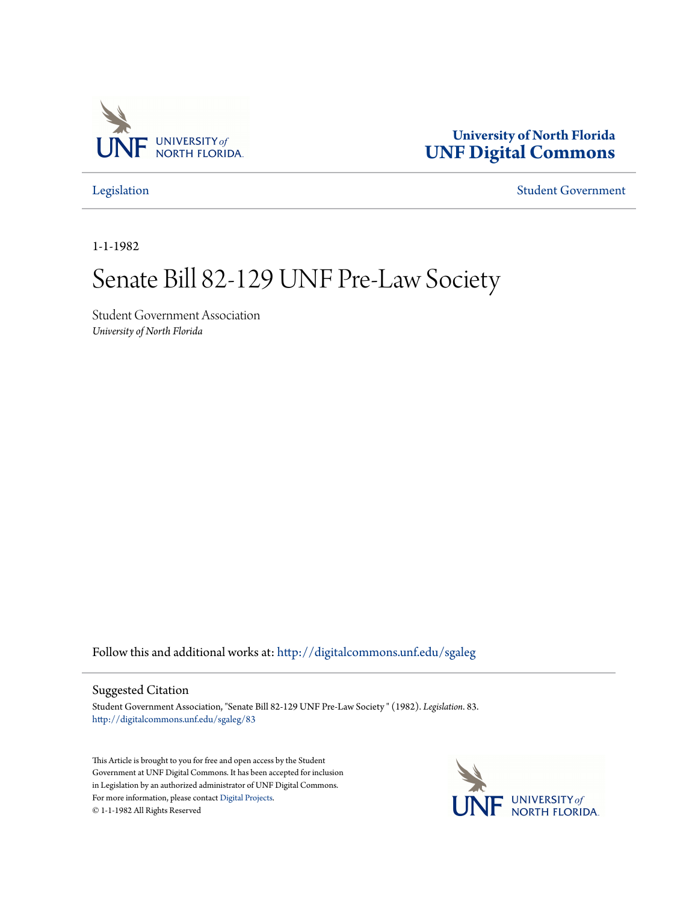

## **University of North Florida [UNF Digital Commons](http://digitalcommons.unf.edu?utm_source=digitalcommons.unf.edu%2Fsgaleg%2F83&utm_medium=PDF&utm_campaign=PDFCoverPages)**

[Legislation](http://digitalcommons.unf.edu/sgaleg?utm_source=digitalcommons.unf.edu%2Fsgaleg%2F83&utm_medium=PDF&utm_campaign=PDFCoverPages) [Student Government](http://digitalcommons.unf.edu/sga?utm_source=digitalcommons.unf.edu%2Fsgaleg%2F83&utm_medium=PDF&utm_campaign=PDFCoverPages)

1-1-1982

## Senate Bill 82-129 UNF Pre-Law Society

Student Government Association *University of North Florida*

Follow this and additional works at: [http://digitalcommons.unf.edu/sgaleg](http://digitalcommons.unf.edu/sgaleg?utm_source=digitalcommons.unf.edu%2Fsgaleg%2F83&utm_medium=PDF&utm_campaign=PDFCoverPages)

## Suggested Citation

Student Government Association, "Senate Bill 82-129 UNF Pre-Law Society " (1982). *Legislation*. 83. [http://digitalcommons.unf.edu/sgaleg/83](http://digitalcommons.unf.edu/sgaleg/83?utm_source=digitalcommons.unf.edu%2Fsgaleg%2F83&utm_medium=PDF&utm_campaign=PDFCoverPages)

This Article is brought to you for free and open access by the Student Government at UNF Digital Commons. It has been accepted for inclusion in Legislation by an authorized administrator of UNF Digital Commons. For more information, please contact [Digital Projects](mailto:lib-digital@unf.edu). © 1-1-1982 All Rights Reserved